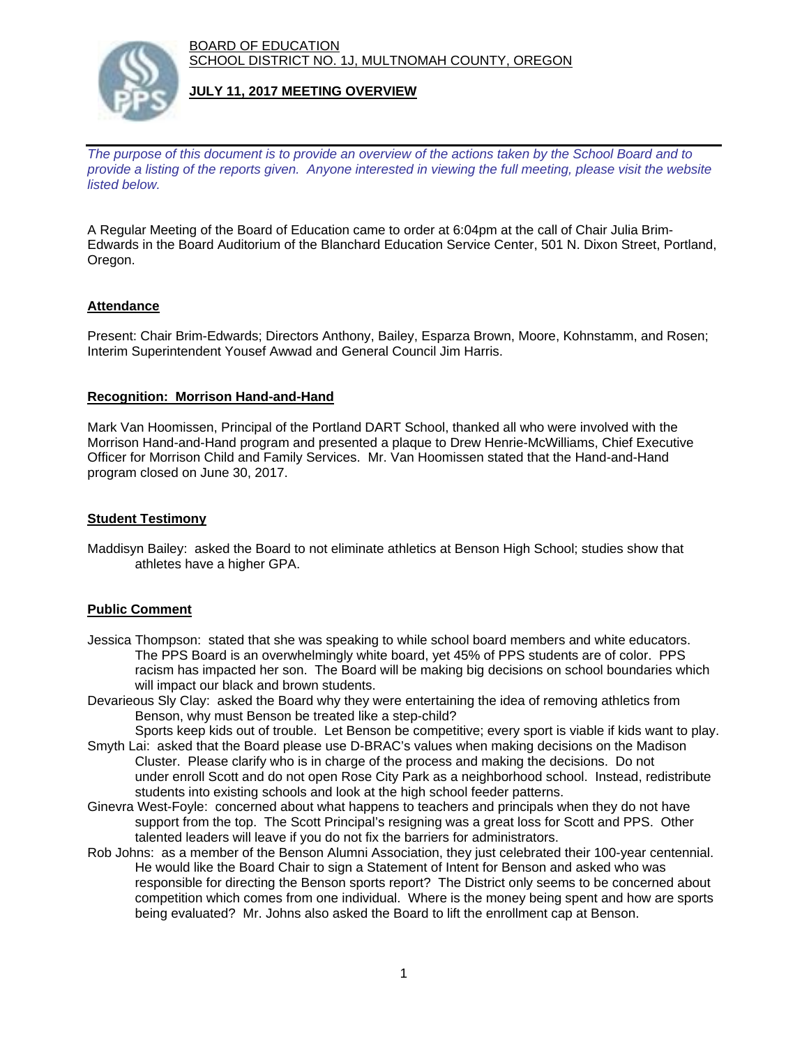BOARD OF EDUCATION SCHOOL DISTRICT NO. 1J, MULTNOMAH COUNTY, OREGON



# **JULY 11, 2017 MEETING OVERVIEW**

*The purpose of this document is to provide an overview of the actions taken by the School Board and to provide a listing of the reports given. Anyone interested in viewing the full meeting, please visit the website listed below.*

A Regular Meeting of the Board of Education came to order at 6:04pm at the call of Chair Julia Brim-Edwards in the Board Auditorium of the Blanchard Education Service Center, 501 N. Dixon Street, Portland, Oregon.

# **Attendance**

Present: Chair Brim-Edwards; Directors Anthony, Bailey, Esparza Brown, Moore, Kohnstamm, and Rosen; Interim Superintendent Yousef Awwad and General Council Jim Harris.

### **Recognition: Morrison Hand-and-Hand**

Mark Van Hoomissen, Principal of the Portland DART School, thanked all who were involved with the Morrison Hand-and-Hand program and presented a plaque to Drew Henrie-McWilliams, Chief Executive Officer for Morrison Child and Family Services. Mr. Van Hoomissen stated that the Hand-and-Hand program closed on June 30, 2017.

### **Student Testimony**

Maddisyn Bailey: asked the Board to not eliminate athletics at Benson High School; studies show that athletes have a higher GPA.

# **Public Comment**

- Jessica Thompson: stated that she was speaking to while school board members and white educators. The PPS Board is an overwhelmingly white board, yet 45% of PPS students are of color. PPS racism has impacted her son. The Board will be making big decisions on school boundaries which will impact our black and brown students.
- Devarieous Sly Clay: asked the Board why they were entertaining the idea of removing athletics from Benson, why must Benson be treated like a step-child?
- Sports keep kids out of trouble. Let Benson be competitive; every sport is viable if kids want to play. Smyth Lai: asked that the Board please use D-BRAC's values when making decisions on the Madison Cluster. Please clarify who is in charge of the process and making the decisions. Do not under enroll Scott and do not open Rose City Park as a neighborhood school. Instead, redistribute students into existing schools and look at the high school feeder patterns.
- Ginevra West-Foyle: concerned about what happens to teachers and principals when they do not have support from the top. The Scott Principal's resigning was a great loss for Scott and PPS. Other talented leaders will leave if you do not fix the barriers for administrators.
- Rob Johns: as a member of the Benson Alumni Association, they just celebrated their 100-year centennial. He would like the Board Chair to sign a Statement of Intent for Benson and asked who was responsible for directing the Benson sports report? The District only seems to be concerned about competition which comes from one individual. Where is the money being spent and how are sports being evaluated? Mr. Johns also asked the Board to lift the enrollment cap at Benson.